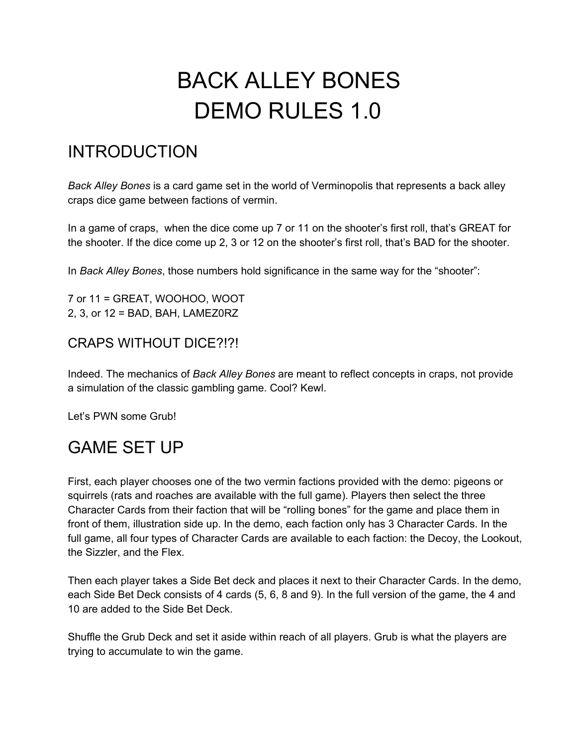# BACK ALLEY BONES DEMO RULES 1.0

# INTRODUCTION

*Back Alley Bones* is a card game set in the world of Verminopolis that represents a back alley craps dice game between factions of vermin.

In a game of craps, when the dice come up 7 or 11 on the shooter's first roll, that's GREAT for the shooter. If the dice come up 2, 3 or 12 on the shooter's first roll, that's BAD for the shooter.

In *Back Alley Bones*, those numbers hold significance in the same way for the "shooter":

7 or 11 = GREAT, WOOHOO, WOOT 2, 3, or 12 = BAD, BAH, LAMEZ0RZ

# CRAPS WITHOUT DICE?!?!

Indeed. The mechanics of *Back Alley Bones* are meant to reflect concepts in craps, not provide a simulation of the classic gambling game. Cool? Kewl.

Let's PWN some Grub!

# GAME SET UP

First, each player chooses one of the two vermin factions provided with the demo: pigeons or squirrels (rats and roaches are available with the full game). Players then select the three Character Cards from their faction that will be "rolling bones" for the game and place them in front of them, illustration side up. In the demo, each faction only has 3 Character Cards. In the full game, all four types of Character Cards are available to each faction: the Decoy, the Lookout, the Sizzler, and the Flex.

Then each player takes a Side Bet deck and places it next to their Character Cards. In the demo, each Side Bet Deck consists of 4 cards (5, 6, 8 and 9). In the full version of the game, the 4 and 10 are added to the Side Bet Deck.

Shuffle the Grub Deck and set it aside within reach of all players. Grub is what the players are trying to accumulate to win the game.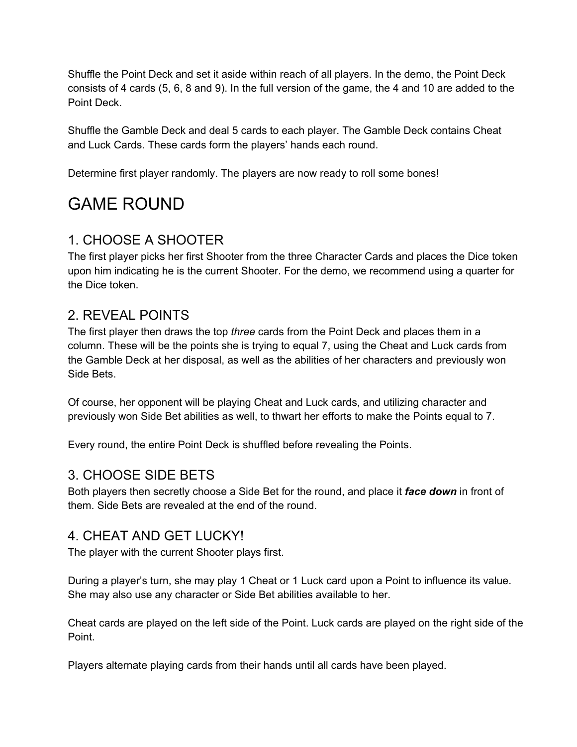Shuffle the Point Deck and set it aside within reach of all players. In the demo, the Point Deck consists of 4 cards (5, 6, 8 and 9). In the full version of the game, the 4 and 10 are added to the Point Deck.

Shuffle the Gamble Deck and deal 5 cards to each player. The Gamble Deck contains Cheat and Luck Cards. These cards form the players' hands each round.

Determine first player randomly. The players are now ready to roll some bones!

# GAME ROUND

# 1. CHOOSE A SHOOTER

The first player picks her first Shooter from the three Character Cards and places the Dice token upon him indicating he is the current Shooter. For the demo, we recommend using a quarter for the Dice token.

# 2. REVEAL POINTS

The first player then draws the top *three* cards from the Point Deck and places them in a column. These will be the points she is trying to equal 7, using the Cheat and Luck cards from the Gamble Deck at her disposal, as well as the abilities of her characters and previously won Side Bets.

Of course, her opponent will be playing Cheat and Luck cards, and utilizing character and previously won Side Bet abilities as well, to thwart her efforts to make the Points equal to 7.

Every round, the entire Point Deck is shuffled before revealing the Points.

## 3. CHOOSE SIDE BETS

Both players then secretly choose a Side Bet for the round, and place it *face down* in front of them. Side Bets are revealed at the end of the round.

## 4. CHEAT AND GET LUCKY!

The player with the current Shooter plays first.

During a player's turn, she may play 1 Cheat or 1 Luck card upon a Point to influence its value. She may also use any character or Side Bet abilities available to her.

Cheat cards are played on the left side of the Point. Luck cards are played on the right side of the Point.

Players alternate playing cards from their hands until all cards have been played.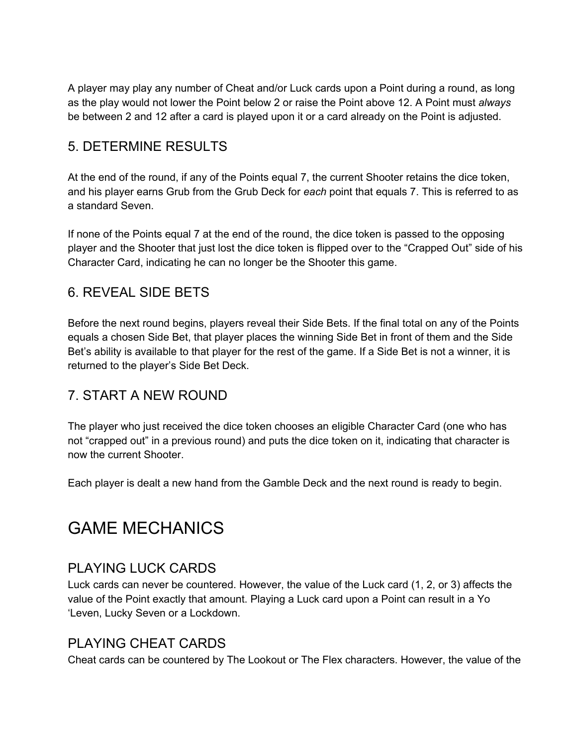A player may play any number of Cheat and/or Luck cards upon a Point during a round, as long as the play would not lower the Point below 2 or raise the Point above 12. A Point must *always* be between 2 and 12 after a card is played upon it or a card already on the Point is adjusted.

## 5. DETERMINE RESULTS

At the end of the round, if any of the Points equal 7, the current Shooter retains the dice token, and his player earns Grub from the Grub Deck for *each* point that equals 7. This is referred to as a standard Seven.

If none of the Points equal 7 at the end of the round, the dice token is passed to the opposing player and the Shooter that just lost the dice token is flipped over to the "Crapped Out" side of his Character Card, indicating he can no longer be the Shooter this game.

# 6. REVEAL SIDE BETS

Before the next round begins, players reveal their Side Bets. If the final total on any of the Points equals a chosen Side Bet, that player places the winning Side Bet in front of them and the Side Bet's ability is available to that player for the rest of the game. If a Side Bet is not a winner, it is returned to the player's Side Bet Deck.

# 7. START A NEW ROUND

The player who just received the dice token chooses an eligible Character Card (one who has not "crapped out" in a previous round) and puts the dice token on it, indicating that character is now the current Shooter.

Each player is dealt a new hand from the Gamble Deck and the next round is ready to begin.

# GAME MECHANICS

## PLAYING LUCK CARDS

Luck cards can never be countered. However, the value of the Luck card (1, 2, or 3) affects the value of the Point exactly that amount. Playing a Luck card upon a Point can result in a Yo 'Leven, Lucky Seven or a Lockdown.

## PLAYING CHEAT CARDS

Cheat cards can be countered by The Lookout or The Flex characters. However, the value of the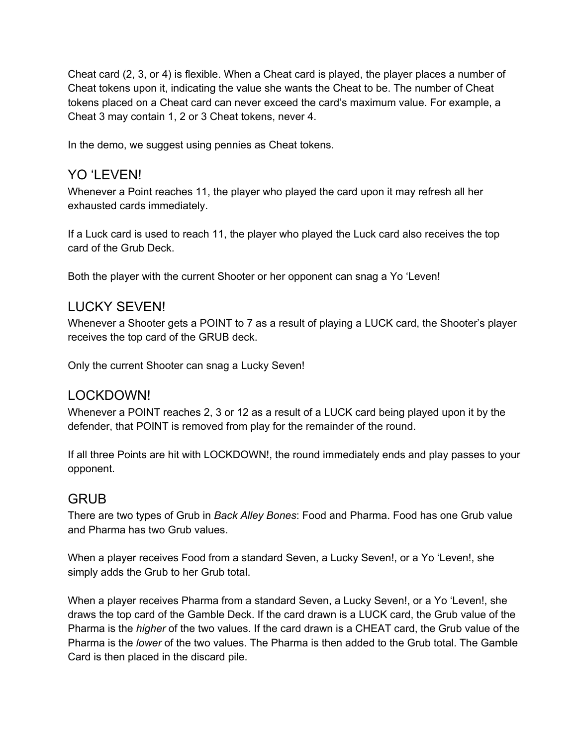Cheat card (2, 3, or 4) is flexible. When a Cheat card is played, the player places a number of Cheat tokens upon it, indicating the value she wants the Cheat to be. The number of Cheat tokens placed on a Cheat card can never exceed the card's maximum value. For example, a Cheat 3 may contain 1, 2 or 3 Cheat tokens, never 4.

In the demo, we suggest using pennies as Cheat tokens.

#### YO 'LEVEN!

Whenever a Point reaches 11, the player who played the card upon it may refresh all her exhausted cards immediately.

If a Luck card is used to reach 11, the player who played the Luck card also receives the top card of the Grub Deck.

Both the player with the current Shooter or her opponent can snag a Yo 'Leven!

#### LUCKY SEVEN!

Whenever a Shooter gets a POINT to 7 as a result of playing a LUCK card, the Shooter's player receives the top card of the GRUB deck.

Only the current Shooter can snag a Lucky Seven!

#### LOCKDOWN!

Whenever a POINT reaches 2, 3 or 12 as a result of a LUCK card being played upon it by the defender, that POINT is removed from play for the remainder of the round.

If all three Points are hit with LOCKDOWN!, the round immediately ends and play passes to your opponent.

#### GRUB

There are two types of Grub in *Back Alley Bones*: Food and Pharma. Food has one Grub value and Pharma has two Grub values.

When a player receives Food from a standard Seven, a Lucky Seven!, or a Yo 'Leven!, she simply adds the Grub to her Grub total.

When a player receives Pharma from a standard Seven, a Lucky Seven!, or a Yo 'Leven!, she draws the top card of the Gamble Deck. If the card drawn is a LUCK card, the Grub value of the Pharma is the *higher* of the two values. If the card drawn is a CHEAT card, the Grub value of the Pharma is the *lower* of the two values. The Pharma is then added to the Grub total. The Gamble Card is then placed in the discard pile.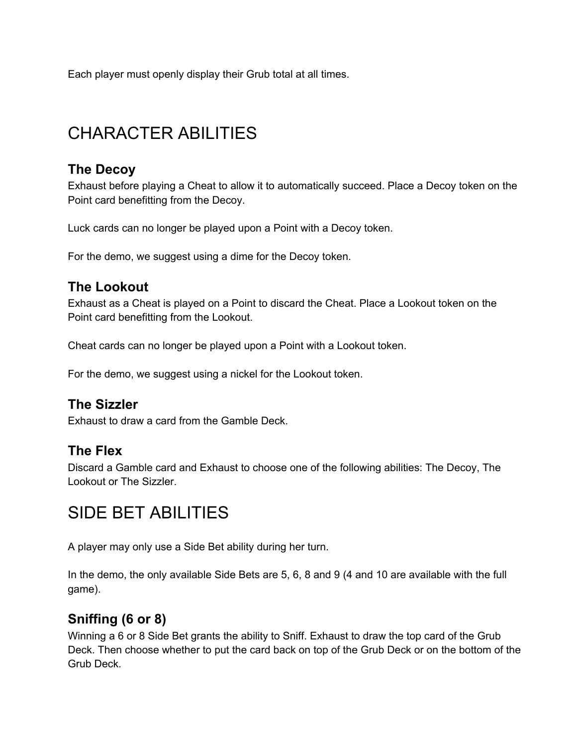Each player must openly display their Grub total at all times.

# CHARACTER ABILITIES

### **The Decoy**

Exhaust before playing a Cheat to allow it to automatically succeed. Place a Decoy token on the Point card benefitting from the Decoy.

Luck cards can no longer be played upon a Point with a Decoy token.

For the demo, we suggest using a dime for the Decoy token.

## **The Lookout**

Exhaust as a Cheat is played on a Point to discard the Cheat. Place a Lookout token on the Point card benefitting from the Lookout.

Cheat cards can no longer be played upon a Point with a Lookout token.

For the demo, we suggest using a nickel for the Lookout token.

#### **The Sizzler**

Exhaust to draw a card from the Gamble Deck.

#### **The Flex**

Discard a Gamble card and Exhaust to choose one of the following abilities: The Decoy, The Lookout or The Sizzler.

# SIDE BET ABILITIES

A player may only use a Side Bet ability during her turn.

In the demo, the only available Side Bets are 5, 6, 8 and 9 (4 and 10 are available with the full game).

# **Sniffing (6 or 8)**

Winning a 6 or 8 Side Bet grants the ability to Sniff. Exhaust to draw the top card of the Grub Deck. Then choose whether to put the card back on top of the Grub Deck or on the bottom of the Grub Deck.